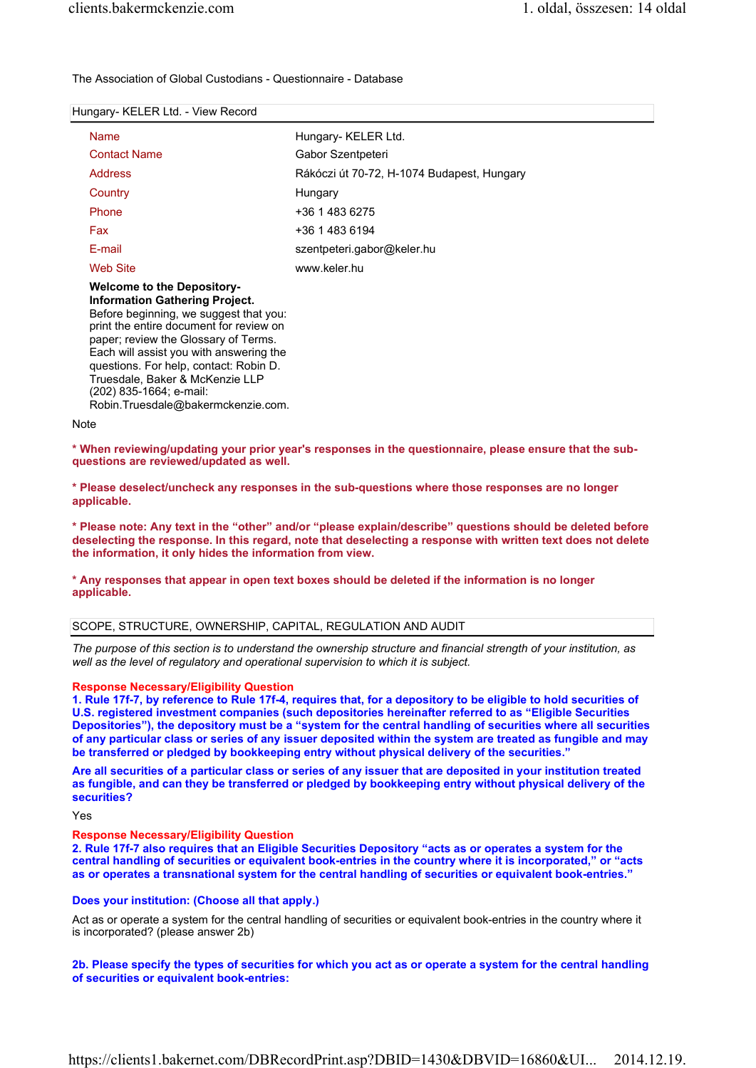The Association of Global Custodians - Questionnaire - Database

#### Hungary- KELER Ltd. - View Record

| <b>Name</b>                                                                                                                                                                                                                                                                           | Hungary- KELER Ltd.                        |
|---------------------------------------------------------------------------------------------------------------------------------------------------------------------------------------------------------------------------------------------------------------------------------------|--------------------------------------------|
| <b>Contact Name</b>                                                                                                                                                                                                                                                                   | Gabor Szentpeteri                          |
| <b>Address</b>                                                                                                                                                                                                                                                                        | Rákóczi út 70-72, H-1074 Budapest, Hungary |
| Country                                                                                                                                                                                                                                                                               | Hungary                                    |
| Phone                                                                                                                                                                                                                                                                                 | +36 1 483 6275                             |
| Fax                                                                                                                                                                                                                                                                                   | +36 1 483 6194                             |
| E-mail                                                                                                                                                                                                                                                                                | szentpeteri.gabor@keler.hu                 |
| Web Site                                                                                                                                                                                                                                                                              | www.keler.hu                               |
| <b>Welcome to the Depository-</b><br>Information Gathering Project.<br>Before beginning, we suggest that you:<br>print the entire document for review on<br>paper; review the Glossary of Terms.<br>Each will assist you with answering the<br>questions. For help, contact: Robin D. |                                            |

Truesdale, Baker & McKenzie LLP (202) 835-1664; e-mail:

Robin.Truesdale@bakermckenzie.com.

#### Note

\* When reviewing/updating your prior year's responses in the questionnaire, please ensure that the subquestions are reviewed/updated as well.

\* Please deselect/uncheck any responses in the sub-questions where those responses are no longer applicable.

\* Please note: Any text in the "other" and/or "please explain/describe" questions should be deleted before deselecting the response. In this regard, note that deselecting a response with written text does not delete the information, it only hides the information from view.

\* Any responses that appear in open text boxes should be deleted if the information is no longer applicable.

# SCOPE, STRUCTURE, OWNERSHIP, CAPITAL, REGULATION AND AUDIT

The purpose of this section is to understand the ownership structure and financial strength of your institution, as well as the level of regulatory and operational supervision to which it is subject.

#### Response Necessary/Eligibility Question

1. Rule 17f-7, by reference to Rule 17f-4, requires that, for a depository to be eligible to hold securities of U.S. registered investment companies (such depositories hereinafter referred to as "Eligible Securities Depositories"), the depository must be a "system for the central handling of securities where all securities of any particular class or series of any issuer deposited within the system are treated as fungible and may be transferred or pledged by bookkeeping entry without physical delivery of the securities."

Are all securities of a particular class or series of any issuer that are deposited in your institution treated as fungible, and can they be transferred or pledged by bookkeeping entry without physical delivery of the securities?

Yes

#### Response Necessary/Eligibility Question

2. Rule 17f-7 also requires that an Eligible Securities Depository "acts as or operates a system for the central handling of securities or equivalent book-entries in the country where it is incorporated," or "acts as or operates a transnational system for the central handling of securities or equivalent book-entries."

# Does your institution: (Choose all that apply.)

Act as or operate a system for the central handling of securities or equivalent book-entries in the country where it is incorporated? (please answer 2b)

2b. Please specify the types of securities for which you act as or operate a system for the central handling of securities or equivalent book-entries: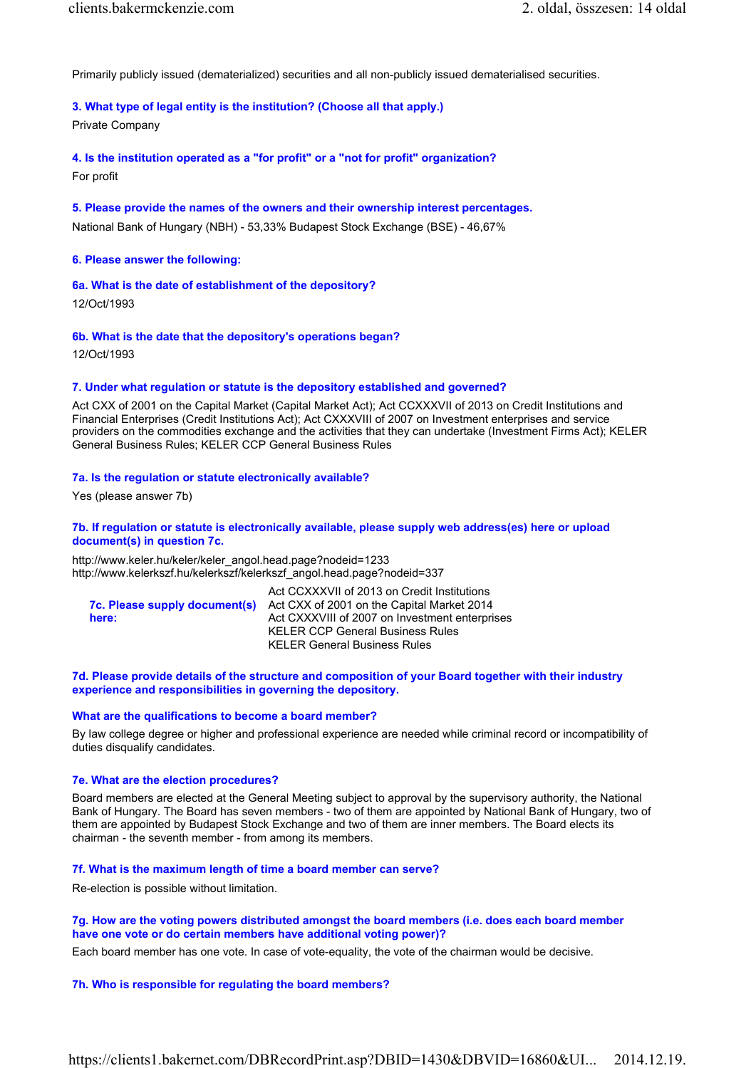Primarily publicly issued (dematerialized) securities and all non-publicly issued dematerialised securities.

# 3. What type of legal entity is the institution? (Choose all that apply.)

Private Company

4. Is the institution operated as a "for profit" or a "not for profit" organization?

For profit

5. Please provide the names of the owners and their ownership interest percentages. National Bank of Hungary (NBH) - 53,33% Budapest Stock Exchange (BSE) - 46,67%

#### 6. Please answer the following:

6a. What is the date of establishment of the depository?

12/Oct/1993

6b. What is the date that the depository's operations began?

12/Oct/1993

#### 7. Under what regulation or statute is the depository established and governed?

Act CXX of 2001 on the Capital Market (Capital Market Act); Act CCXXXVII of 2013 on Credit Institutions and Financial Enterprises (Credit Institutions Act); Act CXXXVIII of 2007 on Investment enterprises and service providers on the commodities exchange and the activities that they can undertake (Investment Firms Act); KELER General Business Rules; KELER CCP General Business Rules

#### 7a. Is the regulation or statute electronically available?

Yes (please answer 7b)

#### 7b. If regulation or statute is electronically available, please supply web address(es) here or upload document(s) in question 7c.

http://www.keler.hu/keler/keler\_angol.head.page?nodeid=1233 http://www.kelerkszf.hu/kelerkszf/kelerkszf\_angol.head.page?nodeid=337

|                               | Act CCXXXVII of 2013 on Credit Institutions    |
|-------------------------------|------------------------------------------------|
| 7c. Please supply document(s) | Act CXX of 2001 on the Capital Market 2014     |
| here:                         | Act CXXXVIII of 2007 on Investment enterprises |
|                               | <b>KELER CCP General Business Rules</b>        |
|                               | <b>KELER General Business Rules</b>            |

#### 7d. Please provide details of the structure and composition of your Board together with their industry experience and responsibilities in governing the depository.

#### What are the qualifications to become a board member?

By law college degree or higher and professional experience are needed while criminal record or incompatibility of duties disqualify candidates.

#### 7e. What are the election procedures?

Board members are elected at the General Meeting subject to approval by the supervisory authority, the National Bank of Hungary. The Board has seven members - two of them are appointed by National Bank of Hungary, two of them are appointed by Budapest Stock Exchange and two of them are inner members. The Board elects its chairman - the seventh member - from among its members.

#### 7f. What is the maximum length of time a board member can serve?

Re-election is possible without limitation.

# 7g. How are the voting powers distributed amongst the board members (i.e. does each board member have one vote or do certain members have additional voting power)?

Each board member has one vote. In case of vote-equality, the vote of the chairman would be decisive.

#### 7h. Who is responsible for regulating the board members?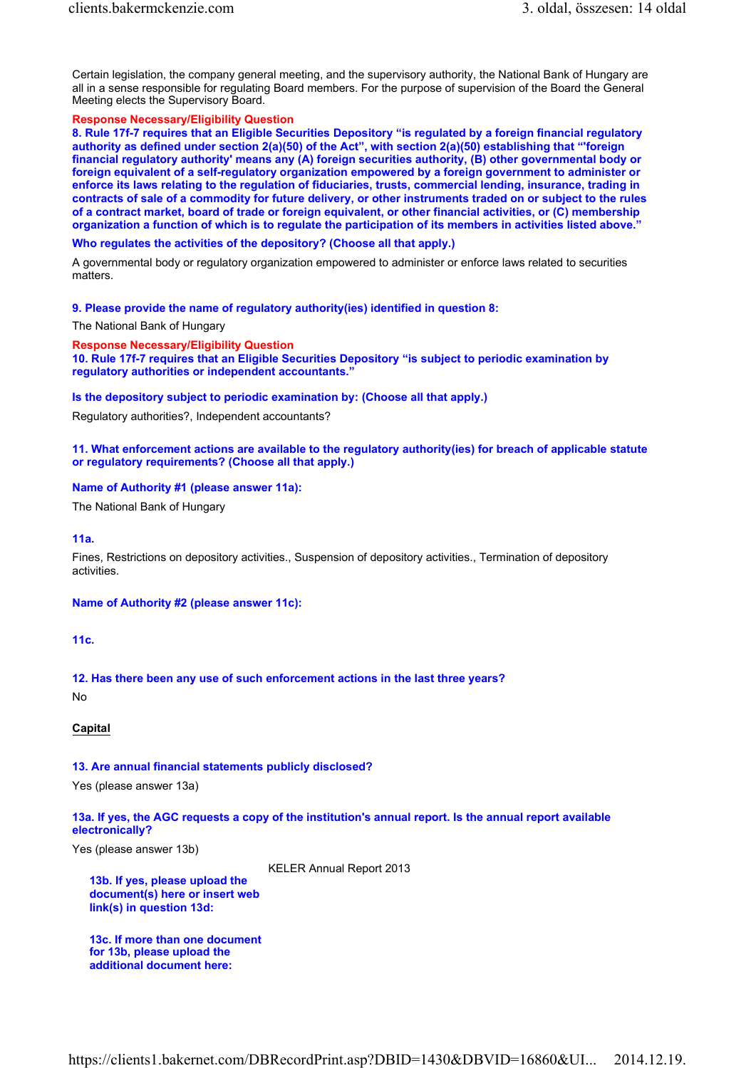Certain legislation, the company general meeting, and the supervisory authority, the National Bank of Hungary are all in a sense responsible for regulating Board members. For the purpose of supervision of the Board the General Meeting elects the Supervisory Board.

### Response Necessary/Eligibility Question

8. Rule 17f-7 requires that an Eligible Securities Depository "is regulated by a foreign financial regulatory authority as defined under section 2(a)(50) of the Act", with section 2(a)(50) establishing that "'foreign financial regulatory authority' means any (A) foreign securities authority, (B) other governmental body or foreign equivalent of a self-regulatory organization empowered by a foreign government to administer or enforce its laws relating to the regulation of fiduciaries, trusts, commercial lending, insurance, trading in contracts of sale of a commodity for future delivery, or other instruments traded on or subject to the rules of a contract market, board of trade or foreign equivalent, or other financial activities, or (C) membership organization a function of which is to regulate the participation of its members in activities listed above."

#### Who regulates the activities of the depository? (Choose all that apply.)

A governmental body or regulatory organization empowered to administer or enforce laws related to securities matters

9. Please provide the name of regulatory authority(ies) identified in question 8:

The National Bank of Hungary

#### Response Necessary/Eligibility Question

10. Rule 17f-7 requires that an Eligible Securities Depository "is subject to periodic examination by regulatory authorities or independent accountants."

Is the depository subject to periodic examination by: (Choose all that apply.)

Regulatory authorities?, Independent accountants?

# 11. What enforcement actions are available to the regulatory authority(ies) for breach of applicable statute or regulatory requirements? (Choose all that apply.)

#### Name of Authority #1 (please answer 11a):

The National Bank of Hungary

11a.

Fines, Restrictions on depository activities., Suspension of depository activities., Termination of depository activities.

Name of Authority #2 (please answer 11c):

11c.

12. Has there been any use of such enforcement actions in the last three years?

No

Capital

# 13. Are annual financial statements publicly disclosed?

Yes (please answer 13a)

# 13a. If yes, the AGC requests a copy of the institution's annual report. Is the annual report available electronically?

Yes (please answer 13b)

KELER Annual Report 2013

13b. If yes, please upload the document(s) here or insert web link(s) in question 13d:

13c. If more than one document for 13b, please upload the additional document here: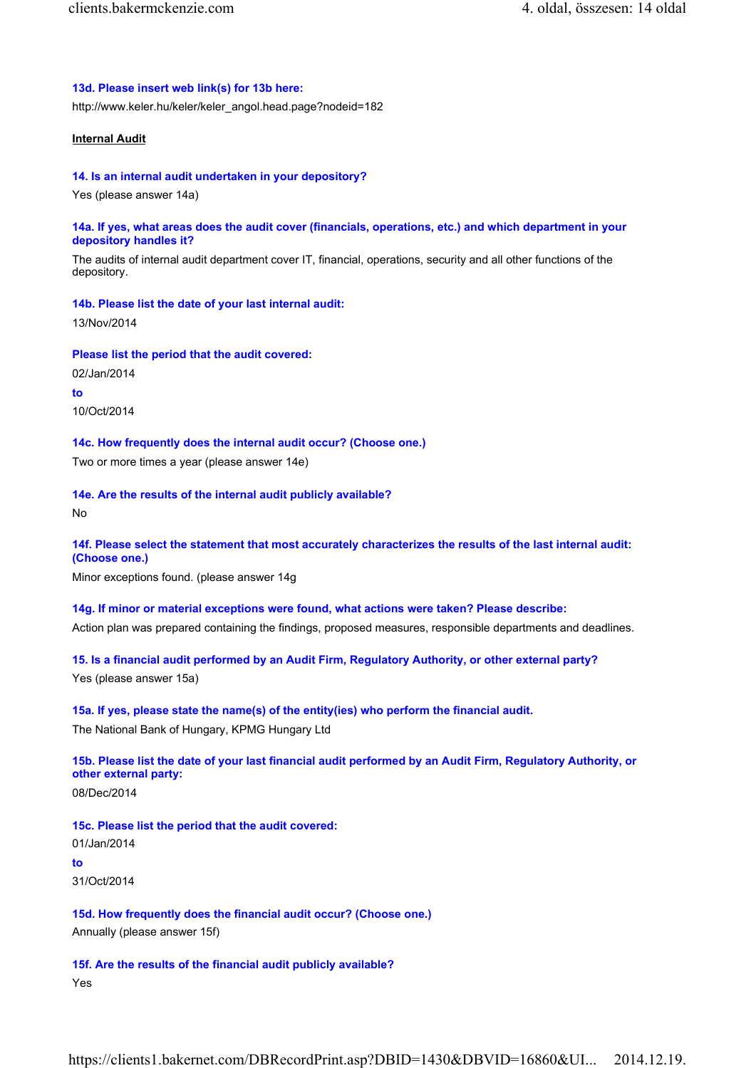### 13d. Please insert web link(s) for 13b here:

http://www.keler.hu/keler/keler\_angol.head.page?nodeid=182

# Internal Audit

#### 14. Is an internal audit undertaken in your depository?

Yes (please answer 14a)

## 14a. If yes, what areas does the audit cover (financials, operations, etc.) and which department in your depository handles it?

The audits of internal audit department cover IT, financial, operations, security and all other functions of the depository.

#### 14b. Please list the date of your last internal audit:

13/Nov/2014

#### Please list the period that the audit covered:

02/Jan/2014 to 10/Oct/2014

# 14c. How frequently does the internal audit occur? (Choose one.)

Two or more times a year (please answer 14e)

# 14e. Are the results of the internal audit publicly available?

No

# 14f. Please select the statement that most accurately characterizes the results of the last internal audit: (Choose one.)

Minor exceptions found. (please answer 14g

# 14g. If minor or material exceptions were found, what actions were taken? Please describe:

Action plan was prepared containing the findings, proposed measures, responsible departments and deadlines.

# 15. Is a financial audit performed by an Audit Firm, Regulatory Authority, or other external party?

Yes (please answer 15a)

# 15a. If yes, please state the name(s) of the entity(ies) who perform the financial audit.

The National Bank of Hungary, KPMG Hungary Ltd

# 15b. Please list the date of your last financial audit performed by an Audit Firm, Regulatory Authority, or other external party:

08/Dec/2014

# 15c. Please list the period that the audit covered:

01/Jan/2014 to

31/Oct/2014

# 15d. How frequently does the financial audit occur? (Choose one.) Annually (please answer 15f)

# 15f. Are the results of the financial audit publicly available?

Yes

https://clients1.bakernet.com/DBRecordPrint.asp?DBID=1430&DBVID=16860&UI... 2014.12.19.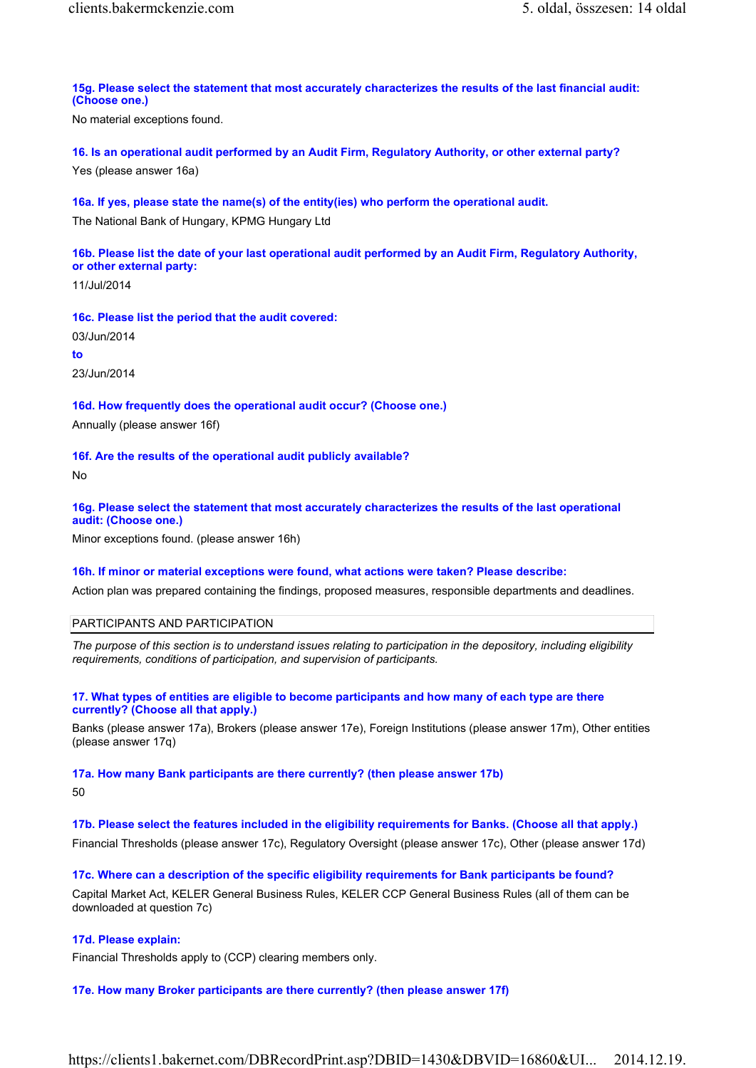15g. Please select the statement that most accurately characterizes the results of the last financial audit: (Choose one.)

No material exceptions found.

16. Is an operational audit performed by an Audit Firm, Regulatory Authority, or other external party? Yes (please answer 16a)

16a. If yes, please state the name(s) of the entity(ies) who perform the operational audit.

The National Bank of Hungary, KPMG Hungary Ltd

16b. Please list the date of your last operational audit performed by an Audit Firm, Regulatory Authority, or other external party:

11/Jul/2014

16c. Please list the period that the audit covered:

03/Jun/2014

to

23/Jun/2014

16d. How frequently does the operational audit occur? (Choose one.)

Annually (please answer 16f)

16f. Are the results of the operational audit publicly available?

No

# 16g. Please select the statement that most accurately characterizes the results of the last operational audit: (Choose one.)

Minor exceptions found. (please answer 16h)

#### 16h. If minor or material exceptions were found, what actions were taken? Please describe:

Action plan was prepared containing the findings, proposed measures, responsible departments and deadlines.

PARTICIPANTS AND PARTICIPATION

The purpose of this section is to understand issues relating to participation in the depository, including eligibility requirements, conditions of participation, and supervision of participants.

# 17. What types of entities are eligible to become participants and how many of each type are there currently? (Choose all that apply.)

Banks (please answer 17a), Brokers (please answer 17e), Foreign Institutions (please answer 17m), Other entities (please answer 17q)

# 17a. How many Bank participants are there currently? (then please answer 17b)

 $50$ 

17b. Please select the features included in the eligibility requirements for Banks. (Choose all that apply.)

Financial Thresholds (please answer 17c), Regulatory Oversight (please answer 17c), Other (please answer 17d)

17c. Where can a description of the specific eligibility requirements for Bank participants be found?

Capital Market Act, KELER General Business Rules, KELER CCP General Business Rules (all of them can be downloaded at question 7c)

# 17d. Please explain:

Financial Thresholds apply to (CCP) clearing members only.

# 17e. How many Broker participants are there currently? (then please answer 17f)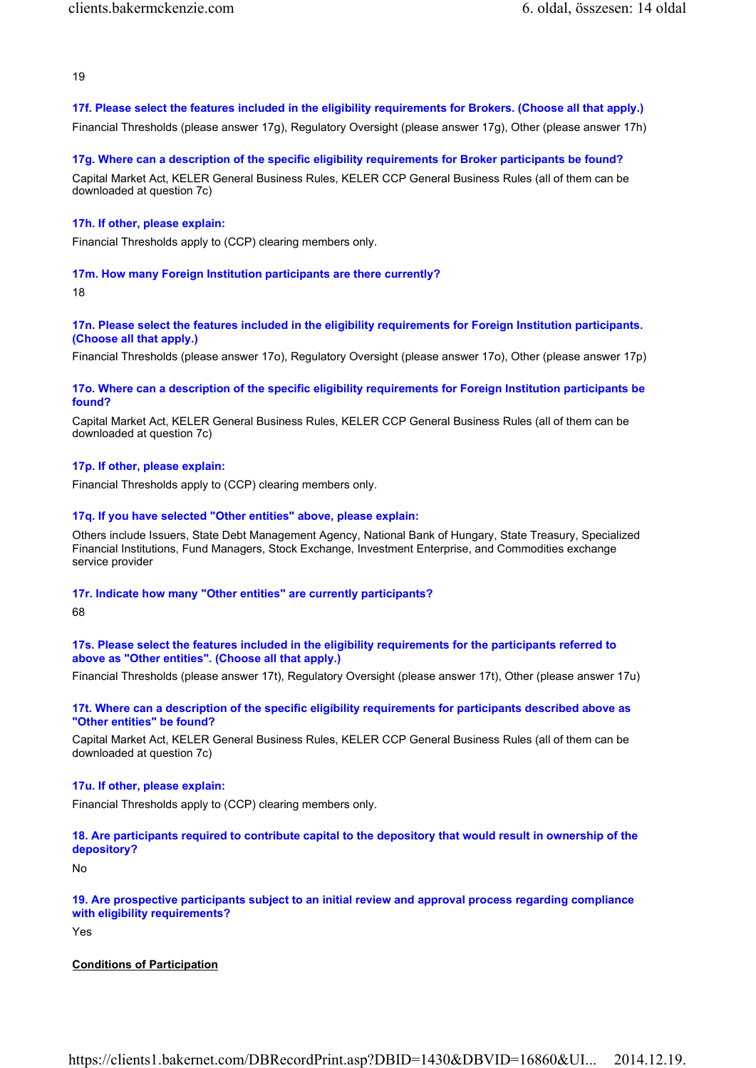19

# 17f. Please select the features included in the eligibility requirements for Brokers. (Choose all that apply.)

Financial Thresholds (please answer 17g), Regulatory Oversight (please answer 17g), Other (please answer 17h)

#### 17g. Where can a description of the specific eligibility requirements for Broker participants be found?

Capital Market Act, KELER General Business Rules, KELER CCP General Business Rules (all of them can be downloaded at question 7c)

# 17h. If other, please explain:

Financial Thresholds apply to (CCP) clearing members only.

# 17m. How many Foreign Institution participants are there currently?

18

# 17n. Please select the features included in the eligibility requirements for Foreign Institution participants. (Choose all that apply.)

Financial Thresholds (please answer 17o), Regulatory Oversight (please answer 17o), Other (please answer 17p)

# 17o. Where can a description of the specific eligibility requirements for Foreign Institution participants be found?

Capital Market Act, KELER General Business Rules, KELER CCP General Business Rules (all of them can be downloaded at question 7c)

# 17p. If other, please explain:

Financial Thresholds apply to (CCP) clearing members only.

# 17q. If you have selected "Other entities" above, please explain:

Others include Issuers, State Debt Management Agency, National Bank of Hungary, State Treasury, Specialized Financial Institutions, Fund Managers, Stock Exchange, Investment Enterprise, and Commodities exchange service provider

# 17r. Indicate how many "Other entities" are currently participants?

68

# 17s. Please select the features included in the eligibility requirements for the participants referred to above as "Other entities". (Choose all that apply.)

Financial Thresholds (please answer 17t), Regulatory Oversight (please answer 17t), Other (please answer 17u)

# 17t. Where can a description of the specific eligibility requirements for participants described above as "Other entities" be found?

Capital Market Act, KELER General Business Rules, KELER CCP General Business Rules (all of them can be downloaded at question 7c)

# 17u. If other, please explain:

Financial Thresholds apply to (CCP) clearing members only.

# 18. Are participants required to contribute capital to the depository that would result in ownership of the depository?

No

# 19. Are prospective participants subject to an initial review and approval process regarding compliance with eligibility requirements?

Yes

# Conditions of Participation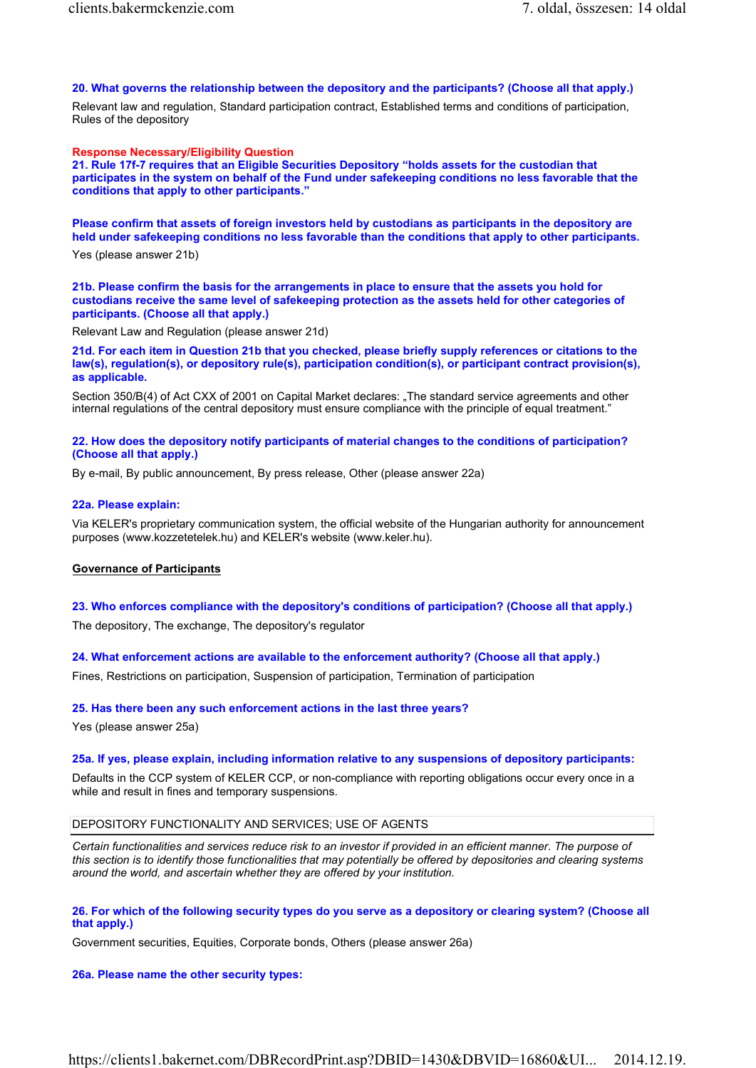# 20. What governs the relationship between the depository and the participants? (Choose all that apply.)

Relevant law and regulation, Standard participation contract, Established terms and conditions of participation, Rules of the depository

# Response Necessary/Eligibility Question

21. Rule 17f-7 requires that an Eligible Securities Depository "holds assets for the custodian that participates in the system on behalf of the Fund under safekeeping conditions no less favorable that the conditions that apply to other participants."

Please confirm that assets of foreign investors held by custodians as participants in the depository are held under safekeeping conditions no less favorable than the conditions that apply to other participants.

Yes (please answer 21b)

21b. Please confirm the basis for the arrangements in place to ensure that the assets you hold for custodians receive the same level of safekeeping protection as the assets held for other categories of participants. (Choose all that apply.)

Relevant Law and Regulation (please answer 21d)

21d. For each item in Question 21b that you checked, please briefly supply references or citations to the law(s), regulation(s), or depository rule(s), participation condition(s), or participant contract provision(s), as applicable.

Section 350/B(4) of Act CXX of 2001 on Capital Market declares: "The standard service agreements and other internal regulations of the central depository must ensure compliance with the principle of equal treatment."

# 22. How does the depository notify participants of material changes to the conditions of participation? (Choose all that apply.)

By e-mail, By public announcement, By press release, Other (please answer 22a)

# 22a. Please explain:

Via KELER's proprietary communication system, the official website of the Hungarian authority for announcement purposes (www.kozzetetelek.hu) and KELER's website (www.keler.hu).

# Governance of Participants

23. Who enforces compliance with the depository's conditions of participation? (Choose all that apply.) The depository, The exchange, The depository's regulator

24. What enforcement actions are available to the enforcement authority? (Choose all that apply.)

Fines, Restrictions on participation, Suspension of participation, Termination of participation

# 25. Has there been any such enforcement actions in the last three years?

Yes (please answer 25a)

# 25a. If yes, please explain, including information relative to any suspensions of depository participants:

Defaults in the CCP system of KELER CCP, or non-compliance with reporting obligations occur every once in a while and result in fines and temporary suspensions.

# DEPOSITORY FUNCTIONALITY AND SERVICES; USE OF AGENTS

Certain functionalities and services reduce risk to an investor if provided in an efficient manner. The purpose of this section is to identify those functionalities that may potentially be offered by depositories and clearing systems around the world, and ascertain whether they are offered by your institution.

# 26. For which of the following security types do you serve as a depository or clearing system? (Choose all that apply.)

Government securities, Equities, Corporate bonds, Others (please answer 26a)

# 26a. Please name the other security types: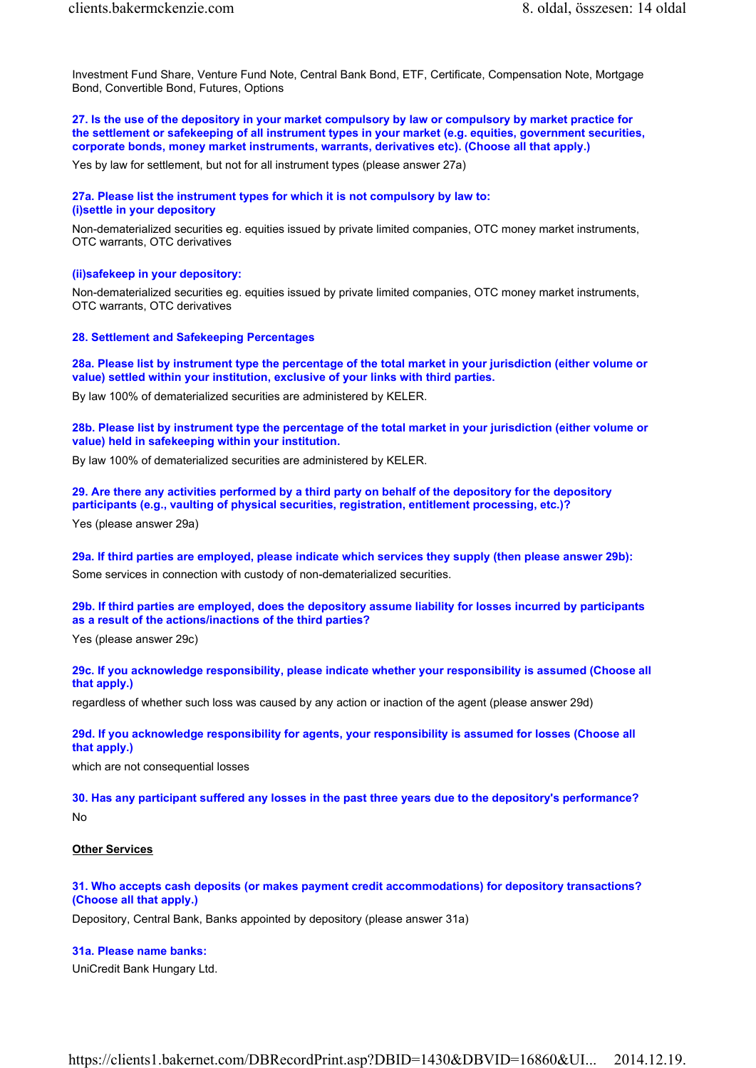Investment Fund Share, Venture Fund Note, Central Bank Bond, ETF, Certificate, Compensation Note, Mortgage Bond, Convertible Bond, Futures, Options

27. Is the use of the depository in your market compulsory by law or compulsory by market practice for the settlement or safekeeping of all instrument types in your market (e.g. equities, government securities, corporate bonds, money market instruments, warrants, derivatives etc). (Choose all that apply.)

Yes by law for settlement, but not for all instrument types (please answer 27a)

27a. Please list the instrument types for which it is not compulsory by law to: (i)settle in your depository

Non-dematerialized securities eg. equities issued by private limited companies, OTC money market instruments, OTC warrants, OTC derivatives

#### (ii)safekeep in your depository:

Non-dematerialized securities eg. equities issued by private limited companies, OTC money market instruments, OTC warrants, OTC derivatives

#### 28. Settlement and Safekeeping Percentages

28a. Please list by instrument type the percentage of the total market in your jurisdiction (either volume or value) settled within your institution, exclusive of your links with third parties.

By law 100% of dematerialized securities are administered by KELER.

28b. Please list by instrument type the percentage of the total market in your jurisdiction (either volume or value) held in safekeeping within your institution.

By law 100% of dematerialized securities are administered by KELER.

29. Are there any activities performed by a third party on behalf of the depository for the depository participants (e.g., vaulting of physical securities, registration, entitlement processing, etc.)?

Yes (please answer 29a)

29a. If third parties are employed, please indicate which services they supply (then please answer 29b): Some services in connection with custody of non-dematerialized securities.

# 29b. If third parties are employed, does the depository assume liability for losses incurred by participants as a result of the actions/inactions of the third parties?

Yes (please answer 29c)

29c. If you acknowledge responsibility, please indicate whether your responsibility is assumed (Choose all that apply.)

regardless of whether such loss was caused by any action or inaction of the agent (please answer 29d)

29d. If you acknowledge responsibility for agents, your responsibility is assumed for losses (Choose all that apply.)

which are not consequential losses

30. Has any participant suffered any losses in the past three years due to the depository's performance? No

#### Other Services

# 31. Who accepts cash deposits (or makes payment credit accommodations) for depository transactions? (Choose all that apply.)

Depository, Central Bank, Banks appointed by depository (please answer 31a)

31a. Please name banks:

UniCredit Bank Hungary Ltd.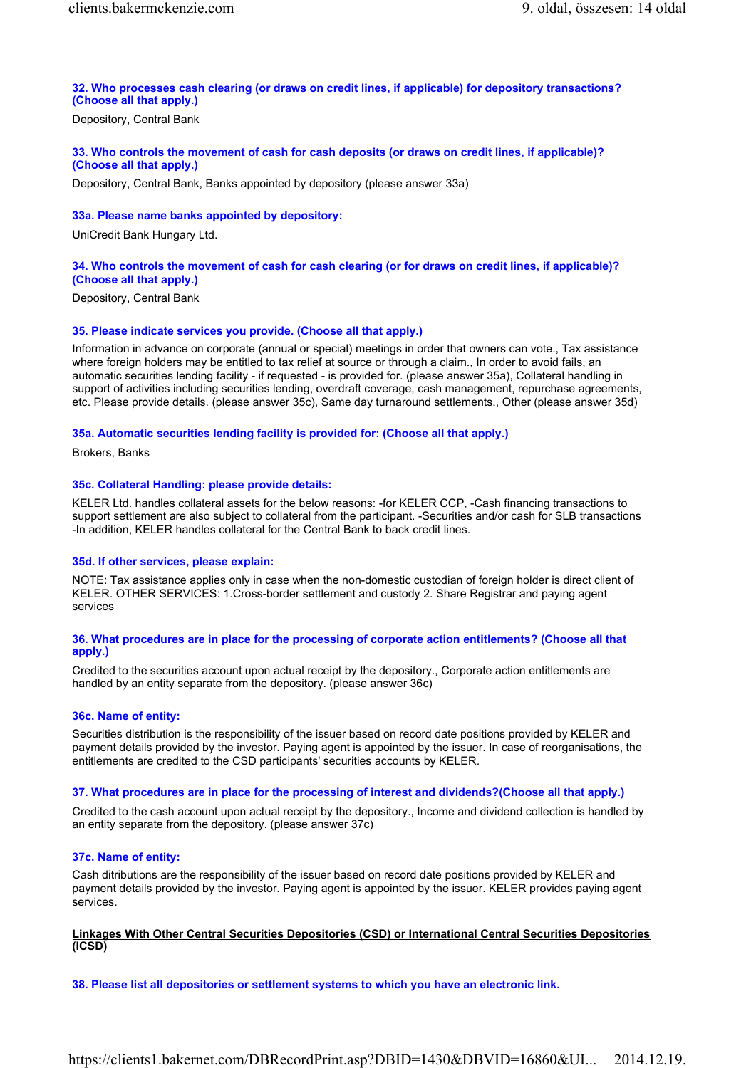# 32. Who processes cash clearing (or draws on credit lines, if applicable) for depository transactions? (Choose all that apply.)

Depository, Central Bank

# 33. Who controls the movement of cash for cash deposits (or draws on credit lines, if applicable)? (Choose all that apply.)

Depository, Central Bank, Banks appointed by depository (please answer 33a)

#### 33a. Please name banks appointed by depository:

UniCredit Bank Hungary Ltd.

# 34. Who controls the movement of cash for cash clearing (or for draws on credit lines, if applicable)? (Choose all that apply.)

Depository, Central Bank

#### 35. Please indicate services you provide. (Choose all that apply.)

Information in advance on corporate (annual or special) meetings in order that owners can vote., Tax assistance where foreign holders may be entitled to tax relief at source or through a claim., In order to avoid fails, an automatic securities lending facility - if requested - is provided for. (please answer 35a), Collateral handling in support of activities including securities lending, overdraft coverage, cash management, repurchase agreements, etc. Please provide details. (please answer 35c), Same day turnaround settlements., Other (please answer 35d)

#### 35a. Automatic securities lending facility is provided for: (Choose all that apply.)

Brokers, Banks

#### 35c. Collateral Handling: please provide details:

KELER Ltd. handles collateral assets for the below reasons: -for KELER CCP, -Cash financing transactions to support settlement are also subject to collateral from the participant. -Securities and/or cash for SLB transactions -In addition, KELER handles collateral for the Central Bank to back credit lines.

#### 35d. If other services, please explain:

NOTE: Tax assistance applies only in case when the non-domestic custodian of foreign holder is direct client of KELER. OTHER SERVICES: 1.Cross-border settlement and custody 2. Share Registrar and paying agent services

#### 36. What procedures are in place for the processing of corporate action entitlements? (Choose all that apply.)

Credited to the securities account upon actual receipt by the depository., Corporate action entitlements are handled by an entity separate from the depository. (please answer 36c)

#### 36c. Name of entity:

Securities distribution is the responsibility of the issuer based on record date positions provided by KELER and payment details provided by the investor. Paying agent is appointed by the issuer. In case of reorganisations, the entitlements are credited to the CSD participants' securities accounts by KELER.

#### 37. What procedures are in place for the processing of interest and dividends?(Choose all that apply.)

Credited to the cash account upon actual receipt by the depository., Income and dividend collection is handled by an entity separate from the depository. (please answer 37c)

# 37c. Name of entity:

Cash ditributions are the responsibility of the issuer based on record date positions provided by KELER and payment details provided by the investor. Paying agent is appointed by the issuer. KELER provides paying agent services.

# Linkages With Other Central Securities Depositories (CSD) or International Central Securities Depositories (ICSD)

38. Please list all depositories or settlement systems to which you have an electronic link.

# https://clients1.bakernet.com/DBRecordPrint.asp?DBID=1430&DBVID=16860&UI... 2014.12.19.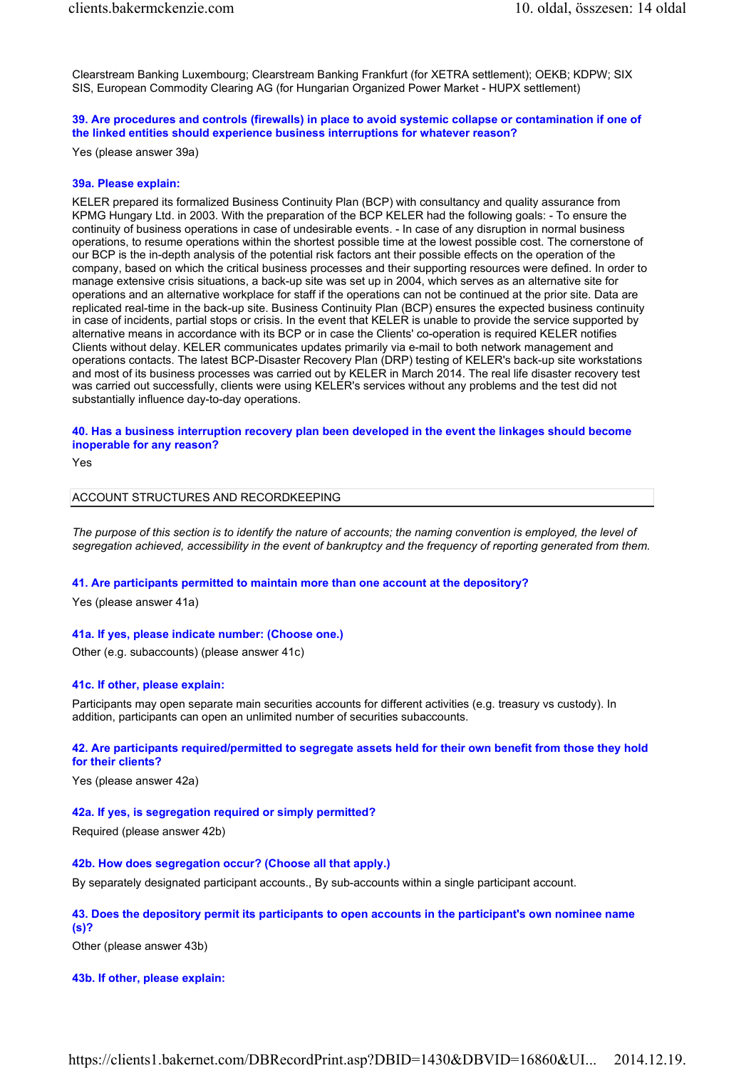Clearstream Banking Luxembourg; Clearstream Banking Frankfurt (for XETRA settlement); OEKB; KDPW; SIX SIS, European Commodity Clearing AG (for Hungarian Organized Power Market - HUPX settlement)

# 39. Are procedures and controls (firewalls) in place to avoid systemic collapse or contamination if one of the linked entities should experience business interruptions for whatever reason?

Yes (please answer 39a)

#### 39a. Please explain:

KELER prepared its formalized Business Continuity Plan (BCP) with consultancy and quality assurance from KPMG Hungary Ltd. in 2003. With the preparation of the BCP KELER had the following goals: - To ensure the continuity of business operations in case of undesirable events. - In case of any disruption in normal business operations, to resume operations within the shortest possible time at the lowest possible cost. The cornerstone of our BCP is the in-depth analysis of the potential risk factors ant their possible effects on the operation of the company, based on which the critical business processes and their supporting resources were defined. In order to manage extensive crisis situations, a back-up site was set up in 2004, which serves as an alternative site for operations and an alternative workplace for staff if the operations can not be continued at the prior site. Data are replicated real-time in the back-up site. Business Continuity Plan (BCP) ensures the expected business continuity in case of incidents, partial stops or crisis. In the event that KELER is unable to provide the service supported by alternative means in accordance with its BCP or in case the Clients' co-operation is required KELER notifies Clients without delay. KELER communicates updates primarily via e-mail to both network management and operations contacts. The latest BCP-Disaster Recovery Plan (DRP) testing of KELER's back-up site workstations and most of its business processes was carried out by KELER in March 2014. The real life disaster recovery test was carried out successfully, clients were using KELER's services without any problems and the test did not substantially influence day-to-day operations.

40. Has a business interruption recovery plan been developed in the event the linkages should become inoperable for any reason?

Yes

# ACCOUNT STRUCTURES AND RECORDKEEPING

The purpose of this section is to identify the nature of accounts; the naming convention is employed, the level of segregation achieved, accessibility in the event of bankruptcy and the frequency of reporting generated from them.

#### 41. Are participants permitted to maintain more than one account at the depository?

Yes (please answer 41a)

#### 41a. If yes, please indicate number: (Choose one.)

Other (e.g. subaccounts) (please answer 41c)

#### 41c. If other, please explain:

Participants may open separate main securities accounts for different activities (e.g. treasury vs custody). In addition, participants can open an unlimited number of securities subaccounts.

# 42. Are participants required/permitted to segregate assets held for their own benefit from those they hold for their clients?

Yes (please answer 42a)

#### 42a. If yes, is segregation required or simply permitted?

Required (please answer 42b)

#### 42b. How does segregation occur? (Choose all that apply.)

By separately designated participant accounts., By sub-accounts within a single participant account.

#### 43. Does the depository permit its participants to open accounts in the participant's own nominee name (s)?

Other (please answer 43b)

# 43b. If other, please explain: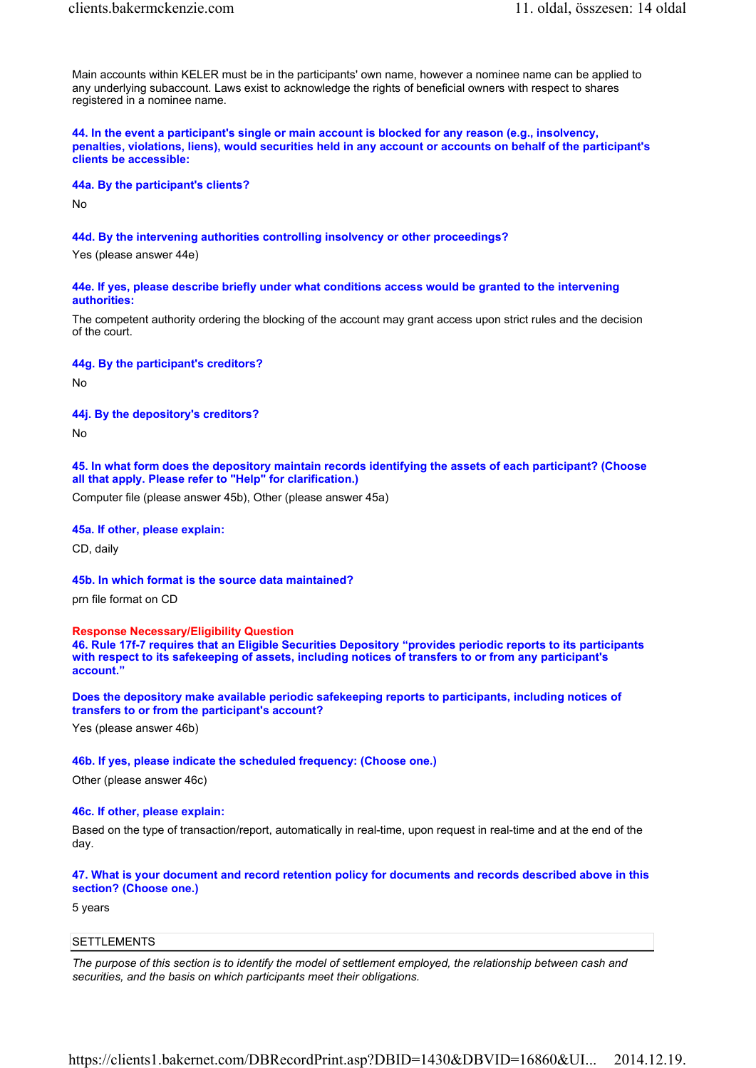Main accounts within KELER must be in the participants' own name, however a nominee name can be applied to any underlying subaccount. Laws exist to acknowledge the rights of beneficial owners with respect to shares registered in a nominee name.

44. In the event a participant's single or main account is blocked for any reason (e.g., insolvency, penalties, violations, liens), would securities held in any account or accounts on behalf of the participant's clients be accessible:

#### 44a. By the participant's clients?

No

# 44d. By the intervening authorities controlling insolvency or other proceedings?

Yes (please answer 44e)

#### 44e. If yes, please describe briefly under what conditions access would be granted to the intervening authorities:

The competent authority ordering the blocking of the account may grant access upon strict rules and the decision of the court.

44g. By the participant's creditors?

No

# 44j. By the depository's creditors?

No

45. In what form does the depository maintain records identifying the assets of each participant? (Choose all that apply. Please refer to "Help" for clarification.)

Computer file (please answer 45b), Other (please answer 45a)

# 45a. If other, please explain:

CD, daily

45b. In which format is the source data maintained?

prn file format on CD

Response Necessary/Eligibility Question

46. Rule 17f-7 requires that an Eligible Securities Depository "provides periodic reports to its participants with respect to its safekeeping of assets, including notices of transfers to or from any participant's account."

Does the depository make available periodic safekeeping reports to participants, including notices of transfers to or from the participant's account?

Yes (please answer 46b)

#### 46b. If yes, please indicate the scheduled frequency: (Choose one.)

Other (please answer 46c)

# 46c. If other, please explain:

Based on the type of transaction/report, automatically in real-time, upon request in real-time and at the end of the day.

# 47. What is your document and record retention policy for documents and records described above in this section? (Choose one.)

5 years

# **SETTLEMENTS**

The purpose of this section is to identify the model of settlement employed, the relationship between cash and securities, and the basis on which participants meet their obligations.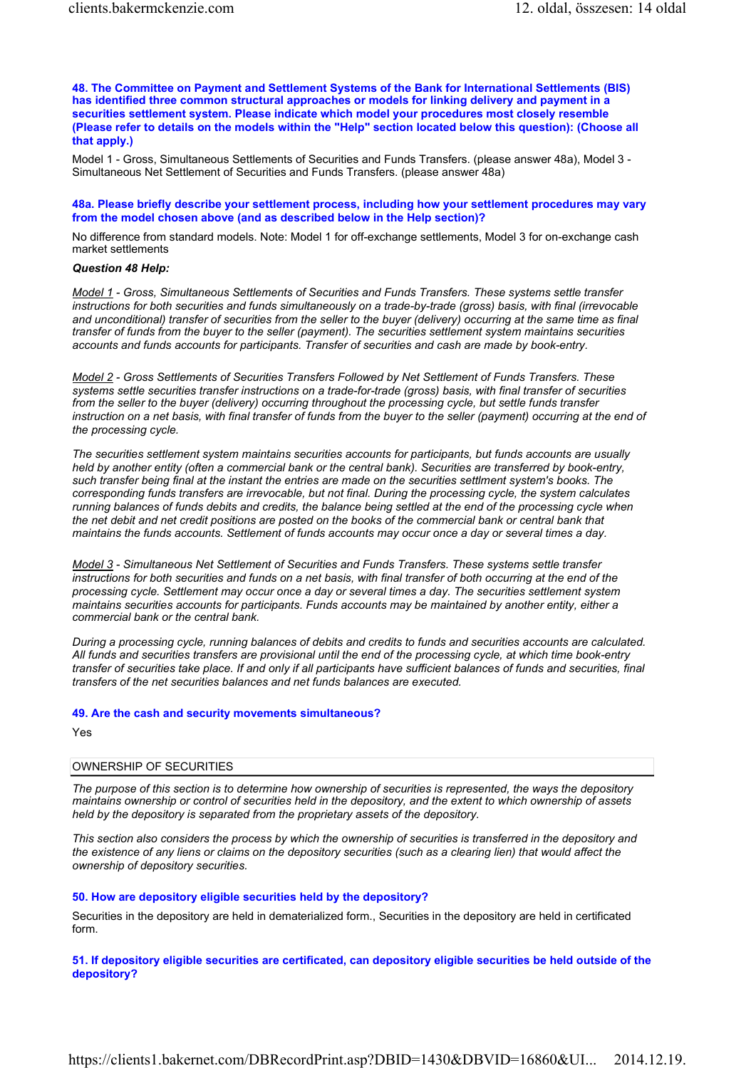48. The Committee on Payment and Settlement Systems of the Bank for International Settlements (BIS) has identified three common structural approaches or models for linking delivery and payment in a securities settlement system. Please indicate which model your procedures most closely resemble (Please refer to details on the models within the "Help" section located below this question): (Choose all that apply.)

Model 1 - Gross, Simultaneous Settlements of Securities and Funds Transfers. (please answer 48a), Model 3 - Simultaneous Net Settlement of Securities and Funds Transfers. (please answer 48a)

#### 48a. Please briefly describe your settlement process, including how your settlement procedures may vary from the model chosen above (and as described below in the Help section)?

No difference from standard models. Note: Model 1 for off-exchange settlements, Model 3 for on-exchange cash market settlements

#### Question 48 Help:

Model 1 - Gross, Simultaneous Settlements of Securities and Funds Transfers. These systems settle transfer instructions for both securities and funds simultaneously on a trade-by-trade (gross) basis, with final (irrevocable and unconditional) transfer of securities from the seller to the buyer (delivery) occurring at the same time as final transfer of funds from the buyer to the seller (payment). The securities settlement system maintains securities accounts and funds accounts for participants. Transfer of securities and cash are made by book-entry.

Model 2 - Gross Settlements of Securities Transfers Followed by Net Settlement of Funds Transfers. These systems settle securities transfer instructions on a trade-for-trade (gross) basis, with final transfer of securities from the seller to the buyer (delivery) occurring throughout the processing cycle, but settle funds transfer instruction on a net basis, with final transfer of funds from the buyer to the seller (payment) occurring at the end of the processing cycle.

The securities settlement system maintains securities accounts for participants, but funds accounts are usually held by another entity (often a commercial bank or the central bank). Securities are transferred by book-entry, such transfer being final at the instant the entries are made on the securities settlment system's books. The corresponding funds transfers are irrevocable, but not final. During the processing cycle, the system calculates running balances of funds debits and credits, the balance being settled at the end of the processing cycle when the net debit and net credit positions are posted on the books of the commercial bank or central bank that maintains the funds accounts. Settlement of funds accounts may occur once a day or several times a day.

Model 3 - Simultaneous Net Settlement of Securities and Funds Transfers. These systems settle transfer instructions for both securities and funds on a net basis, with final transfer of both occurring at the end of the processing cycle. Settlement may occur once a day or several times a day. The securities settlement system maintains securities accounts for participants. Funds accounts may be maintained by another entity, either a commercial bank or the central bank.

During a processing cycle, running balances of debits and credits to funds and securities accounts are calculated. All funds and securities transfers are provisional until the end of the processing cycle, at which time book-entry transfer of securities take place. If and only if all participants have sufficient balances of funds and securities, final transfers of the net securities balances and net funds balances are executed.

# 49. Are the cash and security movements simultaneous?

Yes

#### OWNERSHIP OF SECURITIES

The purpose of this section is to determine how ownership of securities is represented, the ways the depository maintains ownership or control of securities held in the depository, and the extent to which ownership of assets held by the depository is separated from the proprietary assets of the depository.

This section also considers the process by which the ownership of securities is transferred in the depository and the existence of any liens or claims on the depository securities (such as a clearing lien) that would affect the ownership of depository securities.

# 50. How are depository eligible securities held by the depository?

Securities in the depository are held in dematerialized form., Securities in the depository are held in certificated form.

51. If depository eligible securities are certificated, can depository eligible securities be held outside of the depository?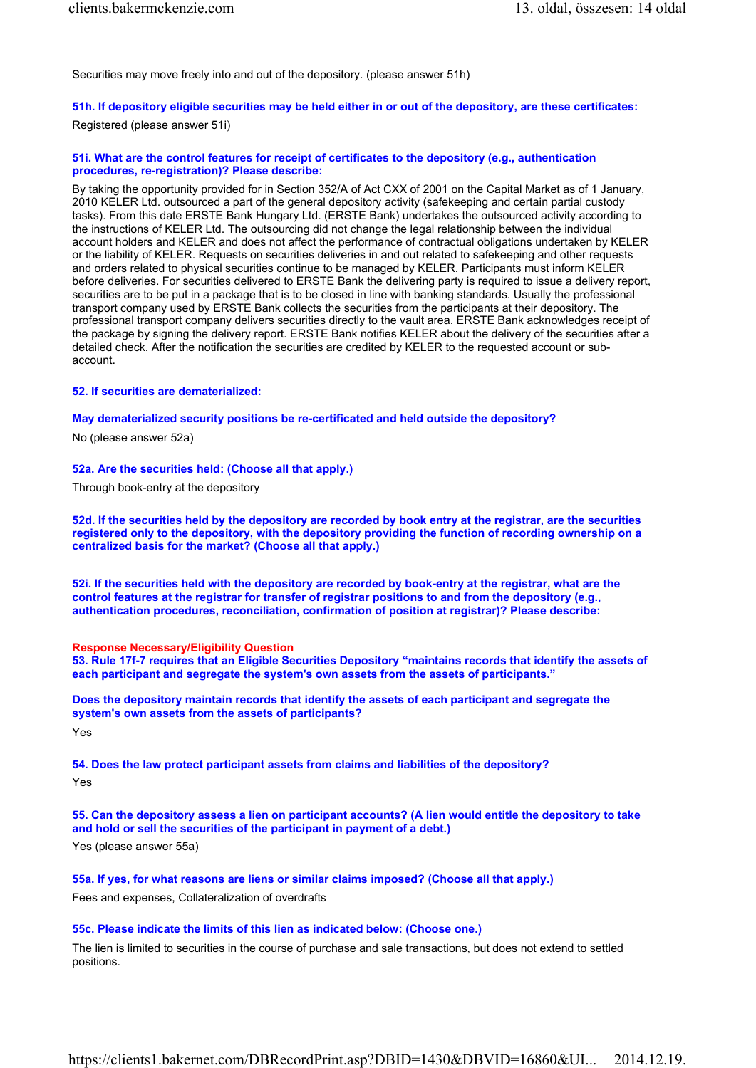Securities may move freely into and out of the depository. (please answer 51h)

# 51h. If depository eligible securities may be held either in or out of the depository, are these certificates:

Registered (please answer 51i)

# 51i. What are the control features for receipt of certificates to the depository (e.g., authentication procedures, re-registration)? Please describe:

By taking the opportunity provided for in Section 352/A of Act CXX of 2001 on the Capital Market as of 1 January, 2010 KELER Ltd. outsourced a part of the general depository activity (safekeeping and certain partial custody tasks). From this date ERSTE Bank Hungary Ltd. (ERSTE Bank) undertakes the outsourced activity according to the instructions of KELER Ltd. The outsourcing did not change the legal relationship between the individual account holders and KELER and does not affect the performance of contractual obligations undertaken by KELER or the liability of KELER. Requests on securities deliveries in and out related to safekeeping and other requests and orders related to physical securities continue to be managed by KELER. Participants must inform KELER before deliveries. For securities delivered to ERSTE Bank the delivering party is required to issue a delivery report, securities are to be put in a package that is to be closed in line with banking standards. Usually the professional transport company used by ERSTE Bank collects the securities from the participants at their depository. The professional transport company delivers securities directly to the vault area. ERSTE Bank acknowledges receipt of the package by signing the delivery report. ERSTE Bank notifies KELER about the delivery of the securities after a detailed check. After the notification the securities are credited by KELER to the requested account or subaccount.

# 52. If securities are dematerialized:

# May dematerialized security positions be re-certificated and held outside the depository?

No (please answer 52a)

# 52a. Are the securities held: (Choose all that apply.)

Through book-entry at the depository

52d. If the securities held by the depository are recorded by book entry at the registrar, are the securities registered only to the depository, with the depository providing the function of recording ownership on a centralized basis for the market? (Choose all that apply.)

52i. If the securities held with the depository are recorded by book-entry at the registrar, what are the control features at the registrar for transfer of registrar positions to and from the depository (e.g., authentication procedures, reconciliation, confirmation of position at registrar)? Please describe:

# Response Necessary/Eligibility Question

53. Rule 17f-7 requires that an Eligible Securities Depository "maintains records that identify the assets of each participant and segregate the system's own assets from the assets of participants."

Does the depository maintain records that identify the assets of each participant and segregate the system's own assets from the assets of participants?

Yes

54. Does the law protect participant assets from claims and liabilities of the depository? Yes

55. Can the depository assess a lien on participant accounts? (A lien would entitle the depository to take and hold or sell the securities of the participant in payment of a debt.)

Yes (please answer 55a)

55a. If yes, for what reasons are liens or similar claims imposed? (Choose all that apply.) Fees and expenses, Collateralization of overdrafts

# 55c. Please indicate the limits of this lien as indicated below: (Choose one.)

The lien is limited to securities in the course of purchase and sale transactions, but does not extend to settled positions.